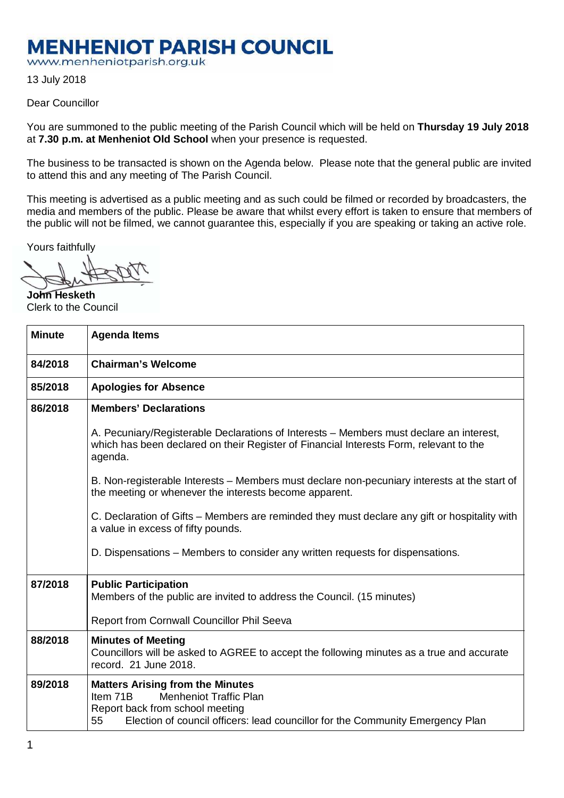## **MENHENIOT PARISH COUNCIL**

www.menheniotparish.org.uk

13 July 2018

## Dear Councillor

You are summoned to the public meeting of the Parish Council which will be held on **Thursday 19 July 2018**  at **7.30 p.m. at Menheniot Old School** when your presence is requested.

The business to be transacted is shown on the Agenda below. Please note that the general public are invited to attend this and any meeting of The Parish Council.

This meeting is advertised as a public meeting and as such could be filmed or recorded by broadcasters, the media and members of the public. Please be aware that whilst every effort is taken to ensure that members of the public will not be filmed, we cannot guarantee this, especially if you are speaking or taking an active role.

Yours faithfully

**John Hesketh**  Clerk to the Council

| <b>Minute</b> | <b>Agenda Items</b>                                                                                                                                                                                             |
|---------------|-----------------------------------------------------------------------------------------------------------------------------------------------------------------------------------------------------------------|
| 84/2018       | <b>Chairman's Welcome</b>                                                                                                                                                                                       |
| 85/2018       | <b>Apologies for Absence</b>                                                                                                                                                                                    |
| 86/2018       | <b>Members' Declarations</b>                                                                                                                                                                                    |
|               | A. Pecuniary/Registerable Declarations of Interests – Members must declare an interest,<br>which has been declared on their Register of Financial Interests Form, relevant to the<br>agenda.                    |
|               | B. Non-registerable Interests – Members must declare non-pecuniary interests at the start of<br>the meeting or whenever the interests become apparent.                                                          |
|               | C. Declaration of Gifts – Members are reminded they must declare any gift or hospitality with<br>a value in excess of fifty pounds.                                                                             |
|               | D. Dispensations – Members to consider any written requests for dispensations.                                                                                                                                  |
| 87/2018       | <b>Public Participation</b><br>Members of the public are invited to address the Council. (15 minutes)                                                                                                           |
|               | Report from Cornwall Councillor Phil Seeva                                                                                                                                                                      |
| 88/2018       | <b>Minutes of Meeting</b><br>Councillors will be asked to AGREE to accept the following minutes as a true and accurate<br>record. 21 June 2018.                                                                 |
| 89/2018       | <b>Matters Arising from the Minutes</b><br><b>Menheniot Traffic Plan</b><br>Item 71B<br>Report back from school meeting<br>Election of council officers: lead councillor for the Community Emergency Plan<br>55 |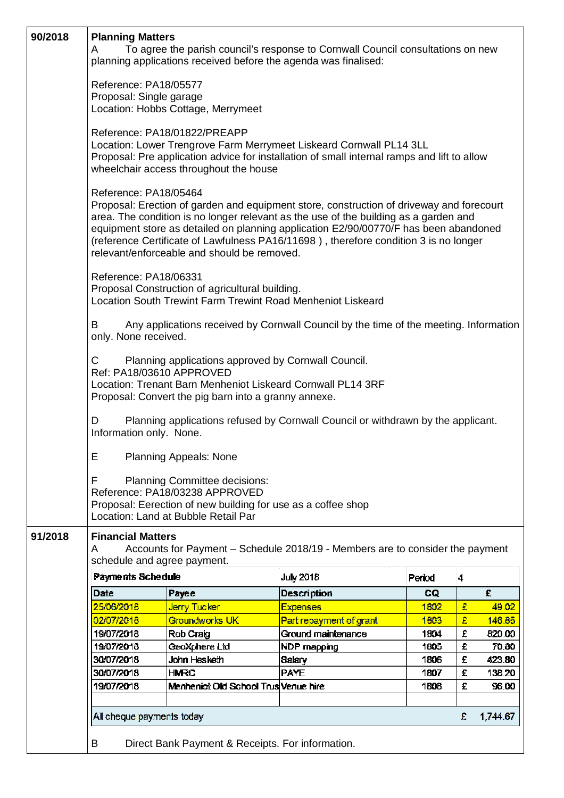| 90/2018 | <b>Planning Matters</b><br>To agree the parish council's response to Cornwall Council consultations on new<br>A<br>planning applications received before the agenda was finalised:                                                                                                                                                                                                                                                                                                                                                                                                                                                                                                       |                                      |                         |        |        |        |  |  |  |
|---------|------------------------------------------------------------------------------------------------------------------------------------------------------------------------------------------------------------------------------------------------------------------------------------------------------------------------------------------------------------------------------------------------------------------------------------------------------------------------------------------------------------------------------------------------------------------------------------------------------------------------------------------------------------------------------------------|--------------------------------------|-------------------------|--------|--------|--------|--|--|--|
|         | Reference: PA18/05577<br>Proposal: Single garage<br>Location: Hobbs Cottage, Merrymeet                                                                                                                                                                                                                                                                                                                                                                                                                                                                                                                                                                                                   |                                      |                         |        |        |        |  |  |  |
|         | Reference: PA18/01822/PREAPP<br>Location: Lower Trengrove Farm Merrymeet Liskeard Cornwall PL14 3LL<br>Proposal: Pre application advice for installation of small internal ramps and lift to allow<br>wheelchair access throughout the house<br>Reference: PA18/05464<br>Proposal: Erection of garden and equipment store, construction of driveway and forecourt<br>area. The condition is no longer relevant as the use of the building as a garden and<br>equipment store as detailed on planning application E2/90/00770/F has been abandoned<br>(reference Certificate of Lawfulness PA16/11698), therefore condition 3 is no longer<br>relevant/enforceable and should be removed. |                                      |                         |        |        |        |  |  |  |
|         |                                                                                                                                                                                                                                                                                                                                                                                                                                                                                                                                                                                                                                                                                          |                                      |                         |        |        |        |  |  |  |
|         | Reference: PA18/06331<br>Proposal Construction of agricultural building.<br>Location South Trewint Farm Trewint Road Menheniot Liskeard                                                                                                                                                                                                                                                                                                                                                                                                                                                                                                                                                  |                                      |                         |        |        |        |  |  |  |
|         | Any applications received by Cornwall Council by the time of the meeting. Information<br>B<br>only. None received.                                                                                                                                                                                                                                                                                                                                                                                                                                                                                                                                                                       |                                      |                         |        |        |        |  |  |  |
|         | C<br>Planning applications approved by Cornwall Council.<br>Ref: PA18/03610 APPROVED<br>Location: Trenant Barn Menheniot Liskeard Cornwall PL14 3RF<br>Proposal: Convert the pig barn into a granny annexe.                                                                                                                                                                                                                                                                                                                                                                                                                                                                              |                                      |                         |        |        |        |  |  |  |
|         | Planning applications refused by Cornwall Council or withdrawn by the applicant.<br>D<br>Information only. None.                                                                                                                                                                                                                                                                                                                                                                                                                                                                                                                                                                         |                                      |                         |        |        |        |  |  |  |
|         | <b>Planning Appeals: None</b><br>E.                                                                                                                                                                                                                                                                                                                                                                                                                                                                                                                                                                                                                                                      |                                      |                         |        |        |        |  |  |  |
|         | F<br><b>Planning Committee decisions:</b><br>Reference: PA18/03238 APPROVED<br>Proposal: Eerection of new building for use as a coffee shop<br>Location: Land at Bubble Retail Par                                                                                                                                                                                                                                                                                                                                                                                                                                                                                                       |                                      |                         |        |        |        |  |  |  |
| 91/2018 | <b>Financial Matters</b>                                                                                                                                                                                                                                                                                                                                                                                                                                                                                                                                                                                                                                                                 |                                      |                         |        |        |        |  |  |  |
|         | Accounts for Payment - Schedule 2018/19 - Members are to consider the payment<br>A<br>schedule and agree payment.                                                                                                                                                                                                                                                                                                                                                                                                                                                                                                                                                                        |                                      |                         |        |        |        |  |  |  |
|         | Payments Schedule                                                                                                                                                                                                                                                                                                                                                                                                                                                                                                                                                                                                                                                                        |                                      | <b>July 2018</b>        | Period | 4      |        |  |  |  |
|         | Date                                                                                                                                                                                                                                                                                                                                                                                                                                                                                                                                                                                                                                                                                     | Payee                                | <b>Description</b>      | CQ     |        | £.     |  |  |  |
|         | 25/06/2018                                                                                                                                                                                                                                                                                                                                                                                                                                                                                                                                                                                                                                                                               | <mark>Jerry Tucker</mark>            | <b>Expenses</b>         | 1802   | £      | 49.02  |  |  |  |
|         | 02/07/2018                                                                                                                                                                                                                                                                                                                                                                                                                                                                                                                                                                                                                                                                               | Groundworks UK                       | Part repayment of grant | 1803   | £      | 146.85 |  |  |  |
|         | 19/07/2018                                                                                                                                                                                                                                                                                                                                                                                                                                                                                                                                                                                                                                                                               | Rob Craig                            | Ground maintenance      | 1804   | £      | 820.00 |  |  |  |
|         | 19/07/2018                                                                                                                                                                                                                                                                                                                                                                                                                                                                                                                                                                                                                                                                               | GeoXphere Ltd                        | NDP mapping             | 1805   | £      | 70.80  |  |  |  |
|         | 30/07/2018                                                                                                                                                                                                                                                                                                                                                                                                                                                                                                                                                                                                                                                                               | John Hesketh                         | Salary                  | 1806   | £      | 423.80 |  |  |  |
|         | 30/07/2018                                                                                                                                                                                                                                                                                                                                                                                                                                                                                                                                                                                                                                                                               | <b>HMRC</b>                          | <b>PAYE</b>             | 1807   | £<br>£ | 138.20 |  |  |  |
|         | 19/07/2018                                                                                                                                                                                                                                                                                                                                                                                                                                                                                                                                                                                                                                                                               | Menheniot Old School Trus Venue hire |                         | 1808   |        | 96.00  |  |  |  |
|         | All cheque payments today                                                                                                                                                                                                                                                                                                                                                                                                                                                                                                                                                                                                                                                                |                                      |                         |        |        |        |  |  |  |
|         | B<br>Direct Bank Payment & Receipts. For information.                                                                                                                                                                                                                                                                                                                                                                                                                                                                                                                                                                                                                                    |                                      |                         |        |        |        |  |  |  |